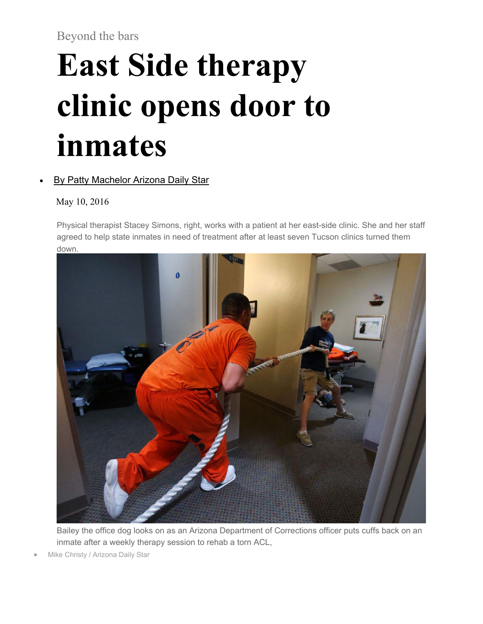Beyond the bars

## **East Side therapy clinic opens door to inmates**

## By Patty Machelor Arizona Daily Star

May 10, 2016

Physical therapist Stacey Simons, right, works with a patient at her east-side clinic. She and her staff agreed to help state inmates in need of treatment after at least seven Tucson clinics turned them down.



Bailey the office dog looks on as an Arizona Department of Corrections officer puts cuffs back on an inmate after a weekly therapy session to rehab a torn ACL,

Mike Christy / Arizona Daily Star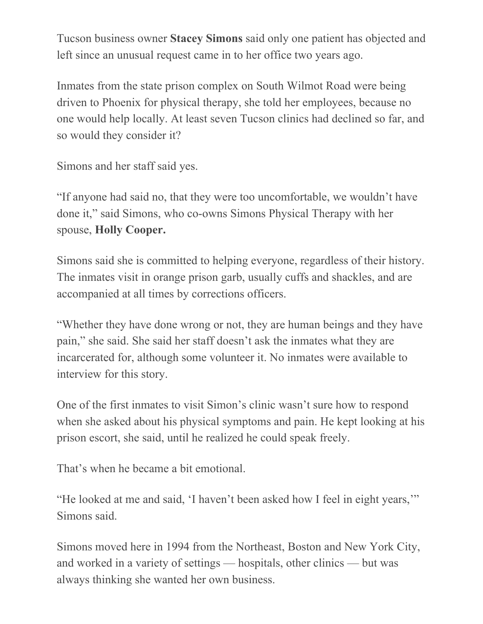Tucson business owner **Stacey Simons** said only one patient has objected and left since an unusual request came in to her office two years ago.

Inmates from the state prison complex on South Wilmot Road were being driven to Phoenix for physical therapy, she told her employees, because no one would help locally. At least seven Tucson clinics had declined so far, and so would they consider it?

Simons and her staff said yes.

"If anyone had said no, that they were too uncomfortable, we wouldn't have done it," said Simons, who co-owns Simons Physical Therapy with her spouse, **Holly Cooper.**

Simons said she is committed to helping everyone, regardless of their history. The inmates visit in orange prison garb, usually cuffs and shackles, and are accompanied at all times by corrections officers.

"Whether they have done wrong or not, they are human beings and they have pain," she said. She said her staff doesn't ask the inmates what they are incarcerated for, although some volunteer it. No inmates were available to interview for this story.

One of the first inmates to visit Simon's clinic wasn't sure how to respond when she asked about his physical symptoms and pain. He kept looking at his prison escort, she said, until he realized he could speak freely.

That's when he became a bit emotional.

"He looked at me and said, 'I haven't been asked how I feel in eight years,'" Simons said.

Simons moved here in 1994 from the Northeast, Boston and New York City, and worked in a variety of settings — hospitals, other clinics — but was always thinking she wanted her own business.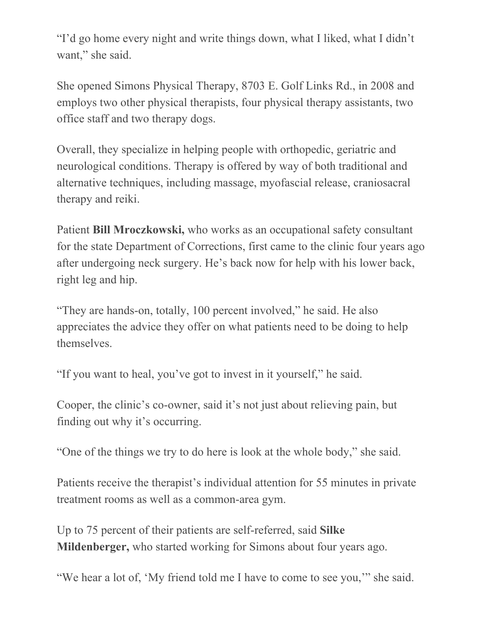"I'd go home every night and write things down, what I liked, what I didn't want," she said.

She opened Simons Physical Therapy, 8703 E. Golf Links Rd., in 2008 and employs two other physical therapists, four physical therapy assistants, two office staff and two therapy dogs.

Overall, they specialize in helping people with orthopedic, geriatric and neurological conditions. Therapy is offered by way of both traditional and alternative techniques, including massage, myofascial release, craniosacral therapy and reiki.

Patient **Bill Mroczkowski,** who works as an occupational safety consultant for the state Department of Corrections, first came to the clinic four years ago after undergoing neck surgery. He's back now for help with his lower back, right leg and hip.

"They are hands-on, totally, 100 percent involved," he said. He also appreciates the advice they offer on what patients need to be doing to help themselves.

"If you want to heal, you've got to invest in it yourself," he said.

Cooper, the clinic's co-owner, said it's not just about relieving pain, but finding out why it's occurring.

"One of the things we try to do here is look at the whole body," she said.

Patients receive the therapist's individual attention for 55 minutes in private treatment rooms as well as a common-area gym.

Up to 75 percent of their patients are self-referred, said **Silke Mildenberger,** who started working for Simons about four years ago.

"We hear a lot of, 'My friend told me I have to come to see you,'" she said.